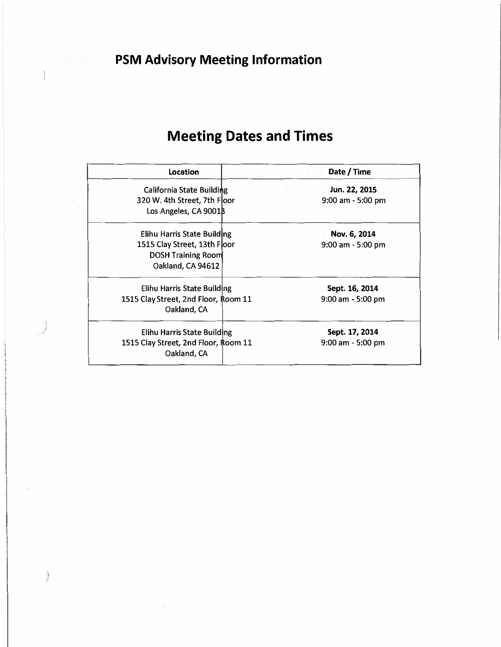## **Meeting Dates and Times**

| Location                                                                                                      | Date / Time                            |
|---------------------------------------------------------------------------------------------------------------|----------------------------------------|
| California State Building<br>320 W. 4th Street, 7th Floor<br>Los Angeles, CA 9001B                            | Jun. 22, 2015<br>$9:00$ am - 5:00 pm   |
| Elihu Harris State Building<br>1515 Clay Street, 13th Floor<br><b>DOSH Training Room</b><br>Oakland, CA 94612 | Nov. 6, 2014<br>$9:00$ am $-5:00$ pm   |
| Elihu Harris State Building<br>1515 Clay Street, 2nd Floor, Room 11<br>Oakland, CA                            | Sept. 16, 2014<br>$9:00$ am $-5:00$ pm |
| Elihu Harris State Building<br>1515 Clay Street, 2nd Floor, Room 11<br>Oakland, CA                            | Sept. 17, 2014<br>$9:00$ am $-5:00$ pm |